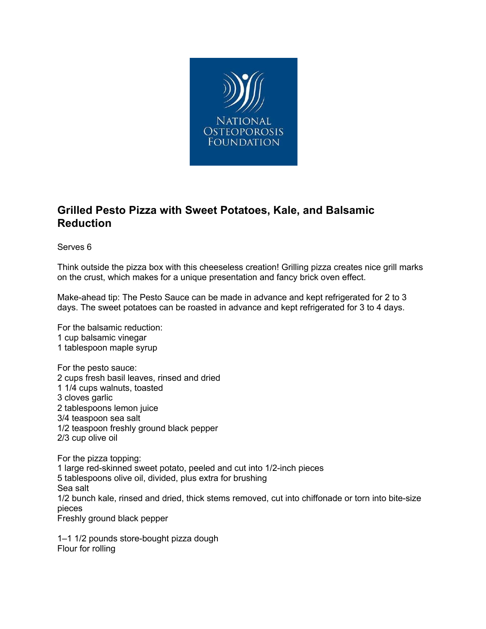

## **Grilled Pesto Pizza with Sweet Potatoes, Kale, and Balsamic Reduction**

Serves 6

Think outside the pizza box with this cheeseless creation! Grilling pizza creates nice grill marks on the crust, which makes for a unique presentation and fancy brick oven effect.

Make-ahead tip: The Pesto Sauce can be made in advance and kept refrigerated for 2 to 3 days. The sweet potatoes can be roasted in advance and kept refrigerated for 3 to 4 days.

For the balsamic reduction: 1 cup balsamic vinegar 1 tablespoon maple syrup

For the pesto sauce: 2 cups fresh basil leaves, rinsed and dried 1 1/4 cups walnuts, toasted 3 cloves garlic 2 tablespoons lemon juice 3/4 teaspoon sea salt 1/2 teaspoon freshly ground black pepper 2/3 cup olive oil

For the pizza topping: 1 large red-skinned sweet potato, peeled and cut into 1/2-inch pieces 5 tablespoons olive oil, divided, plus extra for brushing Sea salt 1/2 bunch kale, rinsed and dried, thick stems removed, cut into chiffonade or torn into bite-size pieces Freshly ground black pepper

1–1 1/2 pounds store-bought pizza dough Flour for rolling